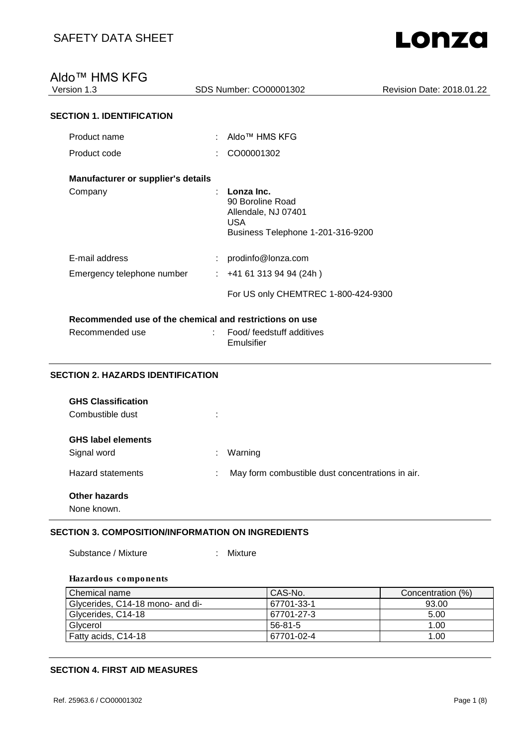### Aldo™ HMS KFG

| Version 1.3 |  |
|-------------|--|
|             |  |

Version 1.3 SDS Number: CO00001302 Revision Date: 2018.01.22

### **SECTION 1. IDENTIFICATION**

| Product name                       | Aldo™ HMS KFG                                                                                     |
|------------------------------------|---------------------------------------------------------------------------------------------------|
| Product code                       | CO00001302                                                                                        |
| Manufacturer or supplier's details |                                                                                                   |
| Company                            | Lonza Inc.<br>90 Boroline Road<br>Allendale, NJ 07401<br>USA<br>Business Telephone 1-201-316-9200 |
| E-mail address                     | prodinfo@lonza.com                                                                                |
| Emergency telephone number         | $: +41613139494(24h)$                                                                             |
|                                    | For US only CHEMTREC 1-800-424-9300                                                               |
|                                    |                                                                                                   |

#### **Recommended use of the chemical and restrictions on use**

| Recommended use | : Food/ feedstuff additives<br>Emulsifier |
|-----------------|-------------------------------------------|
|                 |                                           |

#### **SECTION 2. HAZARDS IDENTIFICATION**

| <b>GHS Classification</b><br>Combustible dust | ٠                                                     |
|-----------------------------------------------|-------------------------------------------------------|
| <b>GHS label elements</b><br>Signal word      | Warning<br>÷.                                         |
| <b>Hazard statements</b>                      | May form combustible dust concentrations in air.<br>÷ |
| <b>Other hazards</b><br>None known.           |                                                       |

#### **SECTION 3. COMPOSITION/INFORMATION ON INGREDIENTS**

Substance / Mixture : Mixture

#### **Hazardous components**

| Chemical name                    | CAS-No.    | Concentration (%) |
|----------------------------------|------------|-------------------|
| Glycerides, C14-18 mono- and di- | 67701-33-1 | 93.00             |
| Glycerides, C14-18               | 67701-27-3 | 5.00              |
| Glycerol                         | $56-81-5$  | 1.00              |
| Fatty acids, C14-18              | 67701-02-4 | 1.00              |

#### **SECTION 4. FIRST AID MEASURES**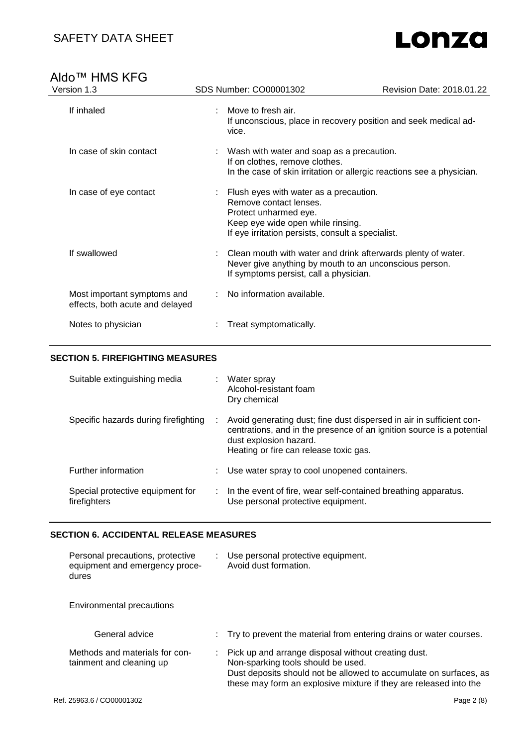### SAFETY DATA SHEET

# Lonza

# Aldo<sup>™</sup> HMS KFG<br>Version 1.3

| Version 1.3                                                    | SDS Number: CO00001302                                                                                                                                                                | Revision Date: 2018.01.22                                             |
|----------------------------------------------------------------|---------------------------------------------------------------------------------------------------------------------------------------------------------------------------------------|-----------------------------------------------------------------------|
| If inhaled                                                     | Move to fresh air.<br>vice.                                                                                                                                                           | If unconscious, place in recovery position and seek medical ad-       |
| In case of skin contact                                        | : Wash with water and soap as a precaution.<br>If on clothes, remove clothes.                                                                                                         | In the case of skin irritation or allergic reactions see a physician. |
| In case of eye contact                                         | : Flush eyes with water as a precaution.<br>Remove contact lenses.<br>Protect unharmed eye.<br>Keep eye wide open while rinsing.<br>If eye irritation persists, consult a specialist. |                                                                       |
| If swallowed                                                   | Never give anything by mouth to an unconscious person.<br>If symptoms persist, call a physician.                                                                                      | Clean mouth with water and drink afterwards plenty of water.          |
| Most important symptoms and<br>effects, both acute and delayed | No information available.                                                                                                                                                             |                                                                       |
| Notes to physician                                             | Treat symptomatically.                                                                                                                                                                |                                                                       |

#### **SECTION 5. FIREFIGHTING MEASURES**

| Suitable extinguishing media                     |   | Water spray<br>Alcohol-resistant foam<br>Dry chemical                                                                                                                                                             |
|--------------------------------------------------|---|-------------------------------------------------------------------------------------------------------------------------------------------------------------------------------------------------------------------|
| Specific hazards during firefighting             |   | Avoid generating dust; fine dust dispersed in air in sufficient con-<br>centrations, and in the presence of an ignition source is a potential<br>dust explosion hazard.<br>Heating or fire can release toxic gas. |
| Further information                              | ÷ | Use water spray to cool unopened containers.                                                                                                                                                                      |
| Special protective equipment for<br>firefighters |   | In the event of fire, wear self-contained breathing apparatus.<br>Use personal protective equipment.                                                                                                              |

#### **SECTION 6. ACCIDENTAL RELEASE MEASURES**

| Personal precautions, protective<br>equipment and emergency proce-<br>dures | ÷. | Use personal protective equipment.<br>Avoid dust formation.                                                                                                                                                                         |
|-----------------------------------------------------------------------------|----|-------------------------------------------------------------------------------------------------------------------------------------------------------------------------------------------------------------------------------------|
| Environmental precautions                                                   |    |                                                                                                                                                                                                                                     |
| General advice                                                              |    | : Try to prevent the material from entering drains or water courses.                                                                                                                                                                |
| Methods and materials for con-<br>tainment and cleaning up                  | ÷  | Pick up and arrange disposal without creating dust.<br>Non-sparking tools should be used.<br>Dust deposits should not be allowed to accumulate on surfaces, as<br>these may form an explosive mixture if they are released into the |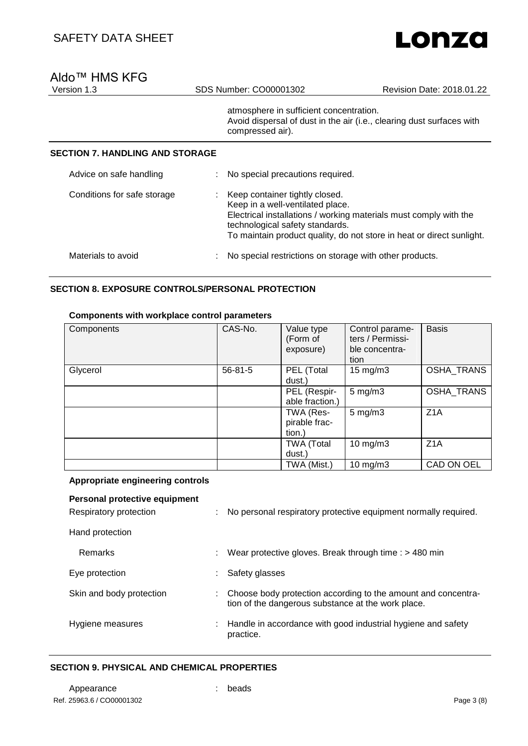# Lonzo

## Aldo<sup>™</sup> HMS KFG<br>Version 1.3

atmosphere in sufficient concentration. Avoid dispersal of dust in the air (i.e., clearing dust surfaces with compressed air).

#### **SECTION 7. HANDLING AND STORAGE**

| Advice on safe handling     | : No special precautions required.                                                                                                                                                                                                                  |
|-----------------------------|-----------------------------------------------------------------------------------------------------------------------------------------------------------------------------------------------------------------------------------------------------|
| Conditions for safe storage | Keep container tightly closed.<br>Keep in a well-ventilated place.<br>Electrical installations / working materials must comply with the<br>technological safety standards.<br>To maintain product quality, do not store in heat or direct sunlight. |
| Materials to avoid          | No special restrictions on storage with other products.                                                                                                                                                                                             |

#### **SECTION 8. EXPOSURE CONTROLS/PERSONAL PROTECTION**

#### **Components with workplace control parameters**

| Components | CAS-No.       | Value type<br>(Form of<br>exposure)  | Control parame-<br>ters / Permissi-<br>ble concentra-<br>tion | <b>Basis</b>     |
|------------|---------------|--------------------------------------|---------------------------------------------------------------|------------------|
| Glycerol   | $56 - 81 - 5$ | PEL (Total<br>dust.)                 | $15 \text{ mg/m}$                                             | OSHA_TRANS       |
|            |               | PEL (Respir-<br>able fraction.)      | $5 \text{ mg/m}$ 3                                            | OSHA_TRANS       |
|            |               | TWA (Res-<br>pirable frac-<br>tion.) | $5 \text{ mg/m}$ 3                                            | Z1A              |
|            |               | <b>TWA (Total</b><br>dust.)          | $10$ mg/m $3$                                                 | Z <sub>1</sub> A |
|            |               | TWA (Mist.)                          | $10 \text{ mg/m}$                                             | CAD ON OEL       |

#### **Appropriate engineering controls**

### **Personal protective equipment** Respiratory protection : No personal respiratory protective equipment normally required. Hand protection Remarks : Wear protective gloves. Break through time : > 480 min Eye protection in the safety glasses in Safety glasses Skin and body protection : Choose body protection according to the amount and concentration of the dangerous substance at the work place. Hygiene measures : Handle in accordance with good industrial hygiene and safety practice.

#### **SECTION 9. PHYSICAL AND CHEMICAL PROPERTIES**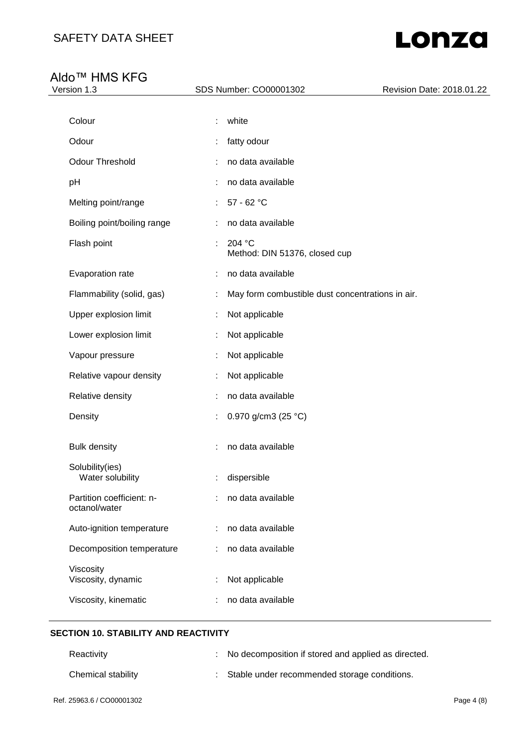# Lonza

### Aldo™ HMS KFG

| <b>AIUV</b><br>יט ו\ו טוווו<br>Version 1.3 | SDS Number: CO00001302                                | Revision Date: 2018.01.22 |
|--------------------------------------------|-------------------------------------------------------|---------------------------|
|                                            |                                                       |                           |
| Colour                                     | white                                                 |                           |
| Odour                                      | fatty odour                                           |                           |
| <b>Odour Threshold</b>                     | no data available                                     |                           |
| pH                                         | no data available                                     |                           |
| Melting point/range                        | 57 - 62 °C                                            |                           |
| Boiling point/boiling range                | no data available                                     |                           |
| Flash point                                | 204 °C<br>Method: DIN 51376, closed cup               |                           |
| Evaporation rate                           | no data available<br>÷                                |                           |
| Flammability (solid, gas)                  | May form combustible dust concentrations in air.<br>÷ |                           |
| Upper explosion limit                      | Not applicable                                        |                           |
| Lower explosion limit                      | Not applicable                                        |                           |
| Vapour pressure                            | Not applicable                                        |                           |
| Relative vapour density                    | Not applicable                                        |                           |
| Relative density                           | no data available                                     |                           |
| Density                                    | 0.970 g/cm3 (25 °C)                                   |                           |
| <b>Bulk density</b>                        | no data available                                     |                           |
| Solubility(ies)<br>Water solubility        | dispersible                                           |                           |
| Partition coefficient: n-<br>octanol/water | no data available                                     |                           |
| Auto-ignition temperature                  | no data available                                     |                           |
| Decomposition temperature                  | no data available<br>÷                                |                           |
| Viscosity<br>Viscosity, dynamic            | Not applicable                                        |                           |
| Viscosity, kinematic                       | no data available                                     |                           |
|                                            |                                                       |                           |

#### **SECTION 10. STABILITY AND REACTIVITY**

| Reactivity         | : No decomposition if stored and applied as directed. |
|--------------------|-------------------------------------------------------|
| Chemical stability | : Stable under recommended storage conditions.        |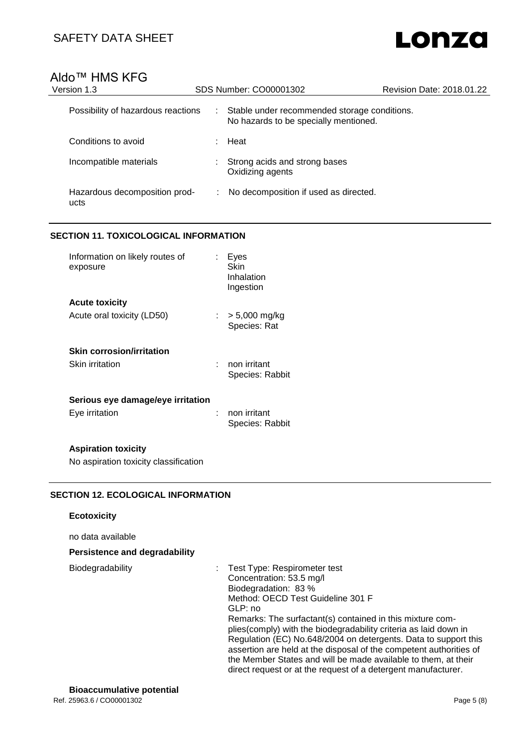# Lonza

### Aldo™ HMS KFG

| Version 1.3                           | SDS Number: CO00001302                                                                     | Revision Date: 2018.01.22 |  |
|---------------------------------------|--------------------------------------------------------------------------------------------|---------------------------|--|
| Possibility of hazardous reactions    | Stable under recommended storage conditions.<br>÷<br>No hazards to be specially mentioned. |                           |  |
| Conditions to avoid                   | Heat                                                                                       |                           |  |
| Incompatible materials                | Strong acids and strong bases<br>Oxidizing agents                                          |                           |  |
| Hazardous decomposition prod-<br>ucts | No decomposition if used as directed.<br>÷.                                                |                           |  |

#### **SECTION 11. TOXICOLOGICAL INFORMATION**

| Information on likely routes of<br>exposure | Eyes<br>Skin<br>Inhalation<br>Ingestion |
|---------------------------------------------|-----------------------------------------|
| <b>Acute toxicity</b>                       |                                         |
| Acute oral toxicity (LD50)                  | : $> 5,000$ mg/kg<br>Species: Rat       |
| Skin corrosion/irritation                   |                                         |
| Skin irritation                             | non irritant<br>Species: Rabbit         |
| Serious eye damage/eye irritation           |                                         |
| Eve irritation                              | non irritant<br>Species: Rabbit         |

#### **Aspiration toxicity**

No aspiration toxicity classification

#### **SECTION 12. ECOLOGICAL INFORMATION**

#### **Ecotoxicity**

no data available

#### **Persistence and degradability**

Biodegradability : Test Type: Respirometer test Concentration: 53.5 mg/l Biodegradation: 83 % Method: OECD Test Guideline 301 F GLP: no Remarks: The surfactant(s) contained in this mixture complies(comply) with the biodegradability criteria as laid down in Regulation (EC) No.648/2004 on detergents. Data to support this assertion are held at the disposal of the competent authorities of the Member States and will be made available to them, at their direct request or at the request of a detergent manufacturer.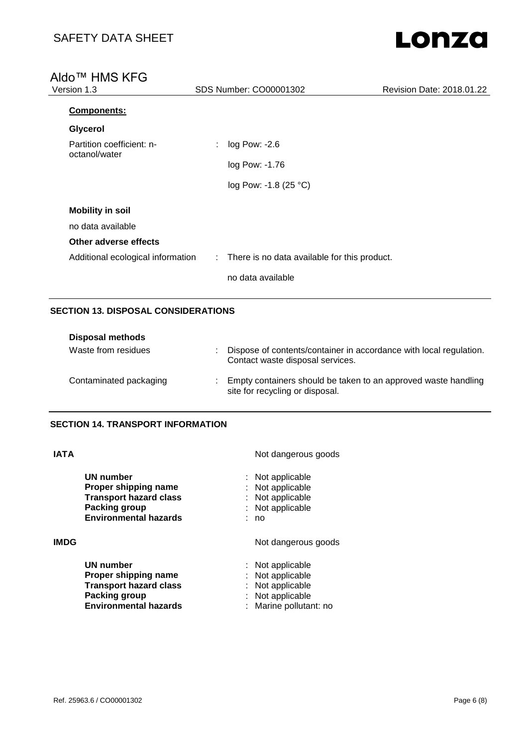# Lonza

### Aldo<sup>™</sup> HMS KFG<br>Version 1.3 SDS Number: CO00001302 Revision Date: 2018.01.22 **Components: Glycerol** Partition coefficient: noctanol/water : log Pow: -2.6 log Pow: -1.76 log Pow: -1.8 (25 °C) **Mobility in soil** no data available **Other adverse effects** Additional ecological information : There is no data available for this product. no data available

#### **SECTION 13. DISPOSAL CONSIDERATIONS**

| <b>Disposal methods</b> |                                                                                                        |
|-------------------------|--------------------------------------------------------------------------------------------------------|
| Waste from residues     | Dispose of contents/container in accordance with local regulation.<br>Contact waste disposal services. |
| Contaminated packaging  | Empty containers should be taken to an approved waste handling<br>site for recycling or disposal.      |

**Packing in applicable**<br>**Packing pollutant:** no:

### **SECTION 14. TRANSPORT INFORMATION**

**Environmental hazards** 

| IATA |                                                                                                                            | Not dangerous goods                                                                  |  |
|------|----------------------------------------------------------------------------------------------------------------------------|--------------------------------------------------------------------------------------|--|
|      | UN number<br>Proper shipping name<br><b>Transport hazard class</b><br><b>Packing group</b><br><b>Environmental hazards</b> | : Not applicable<br>: Not applicable<br>: Not applicable<br>: Not applicable<br>: no |  |
| IMDG |                                                                                                                            | Not dangerous goods                                                                  |  |
|      | UN number<br>Proper shipping name<br><b>Transport hazard class</b><br>Packing group                                        | : Not applicable<br>: Not applicable<br>: Not applicable<br>: Not applicable         |  |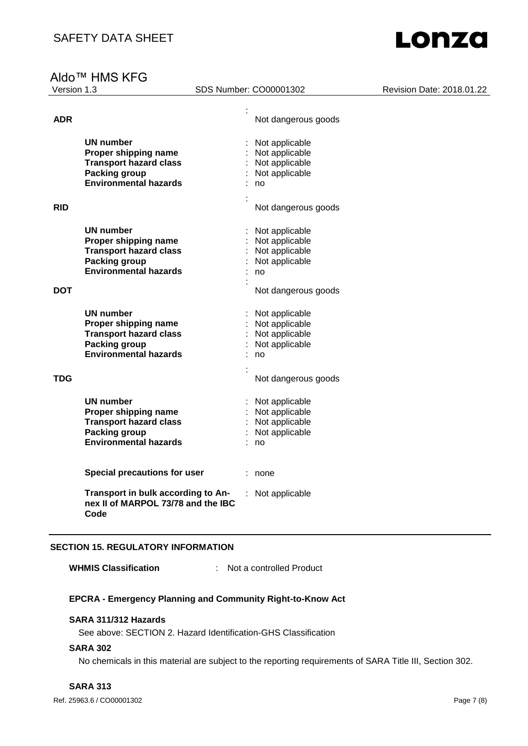# Aldo<sup>™</sup> HMS KFG<br>Version 1.3

SDS Number: CO00001302 Revision Date: 2018.01.22

| <b>ADR</b> |                                     | Not dangerous goods |
|------------|-------------------------------------|---------------------|
|            |                                     |                     |
|            | UN number                           | Not applicable      |
|            | Proper shipping name                | Not applicable      |
|            | <b>Transport hazard class</b>       | Not applicable      |
|            | <b>Packing group</b>                | Not applicable      |
|            | <b>Environmental hazards</b>        | no                  |
|            |                                     |                     |
|            |                                     |                     |
| <b>RID</b> |                                     | Not dangerous goods |
|            |                                     |                     |
|            | <b>UN number</b>                    | Not applicable      |
|            | Proper shipping name                | Not applicable      |
|            | <b>Transport hazard class</b>       | Not applicable      |
|            | <b>Packing group</b>                | Not applicable      |
|            | <b>Environmental hazards</b>        | no                  |
|            |                                     |                     |
| <b>DOT</b> |                                     | Not dangerous goods |
|            |                                     |                     |
|            | UN number                           | Not applicable      |
|            | Proper shipping name                | Not applicable      |
|            | <b>Transport hazard class</b>       | Not applicable      |
|            | Packing group                       | Not applicable      |
|            | <b>Environmental hazards</b>        | no                  |
|            |                                     |                     |
| TDG        |                                     | Not dangerous goods |
|            |                                     |                     |
|            | <b>UN number</b>                    | : Not applicable    |
|            | Proper shipping name                | Not applicable      |
|            | <b>Transport hazard class</b>       | Not applicable      |
|            | <b>Packing group</b>                | Not applicable      |
|            | <b>Environmental hazards</b>        | no                  |
|            |                                     |                     |
|            |                                     |                     |
|            | <b>Special precautions for user</b> | none                |
|            |                                     |                     |
|            | Transport in bulk according to An-  | Not applicable      |
|            | nex II of MARPOL 73/78 and the IBC  |                     |
|            | Code                                |                     |
|            |                                     |                     |

#### **SECTION 15. REGULATORY INFORMATION**

**WHMIS Classification** : Not a controlled Product

#### **EPCRA - Emergency Planning and Community Right-to-Know Act**

#### **SARA 311/312 Hazards**

See above: SECTION 2. Hazard Identification-GHS Classification

#### **SARA 302**

No chemicals in this material are subject to the reporting requirements of SARA Title III, Section 302.

#### **SARA 313**